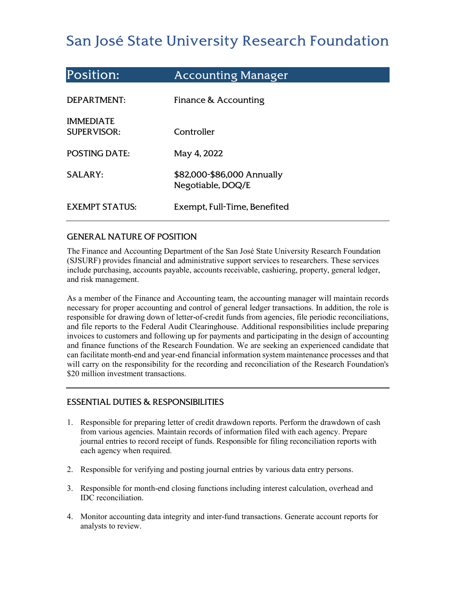# San José State University Research Foundation

| <b>Position:</b>                       | <b>Accounting Manager</b>                       |
|----------------------------------------|-------------------------------------------------|
| DEPARTMENT:                            | Finance & Accounting                            |
| <b>IMMEDIATE</b><br><b>SUPERVISOR:</b> | Controller                                      |
| <b>POSTING DATE:</b>                   | May 4, 2022                                     |
| <b>SALARY:</b>                         | \$82,000-\$86,000 Annually<br>Negotiable, DOQ/E |
| <b>EXEMPT STATUS:</b>                  | Exempt, Full-Time, Benefited                    |

## GENERAL NATURE OF POSITION

The Finance and Accounting Department of the San José State University Research Foundation (SJSURF) provides financial and administrative support services to researchers. These services include purchasing, accounts payable, accounts receivable, cashiering, property, general ledger, and risk management.

As a member of the Finance and Accounting team, the accounting manager will maintain records necessary for proper accounting and control of general ledger transactions. In addition, the role is responsible for drawing down of letter-of-credit funds from agencies, file periodic reconciliations, and file reports to the Federal Audit Clearinghouse. Additional responsibilities include preparing invoices to customers and following up for payments and participating in the design of accounting and finance functions of the Research Foundation. We are seeking an experienced candidate that can facilitate month-end and year-end financial information system maintenance processes and that will carry on the responsibility for the recording and reconciliation of the Research Foundation's \$20 million investment transactions.

## ESSENTIAL DUTIES & RESPONSIBILITIES

- 1. Responsible for preparing letter of credit drawdown reports. Perform the drawdown of cash from various agencies. Maintain records of information filed with each agency. Prepare journal entries to record receipt of funds. Responsible for filing reconciliation reports with each agency when required.
- 2. Responsible for verifying and posting journal entries by various data entry persons.
- 3. Responsible for month-end closing functions including interest calculation, overhead and IDC reconciliation.
- 4. Monitor accounting data integrity and inter-fund transactions. Generate account reports for analysts to review.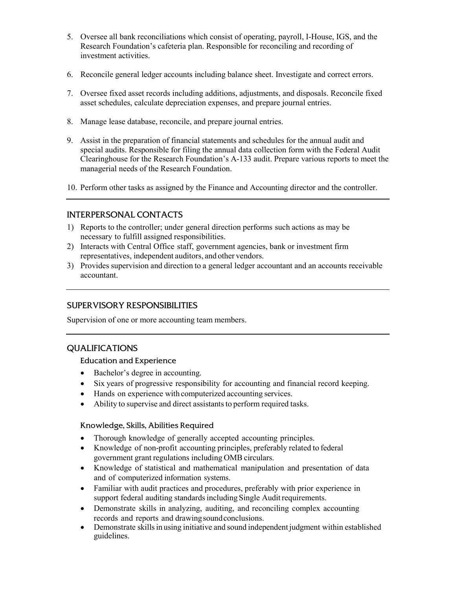- 5. Oversee all bank reconciliations which consist of operating, payroll, I-House, IGS, and the Research Foundation's cafeteria plan. Responsible for reconciling and recording of investment activities.
- 6. Reconcile general ledger accounts including balance sheet. Investigate and correct errors.
- 7. Oversee fixed asset records including additions, adjustments, and disposals. Reconcile fixed asset schedules, calculate depreciation expenses, and prepare journal entries.
- 8. Manage lease database, reconcile, and prepare journal entries.
- 9. Assist in the preparation of financial statements and schedules for the annual audit and special audits. Responsible for filing the annual data collection form with the Federal Audit Clearinghouse for the Research Foundation's A-133 audit. Prepare various reports to meet the managerial needs of the Research Foundation.
- 10. Perform other tasks as assigned by the Finance and Accounting director and the controller.

## INTERPERSONAL CONTACTS

- 1) Reports to the controller; under general direction performs such actions as may be necessary to fulfill assigned responsibilities.
- 2) Interacts with Central Office staff, government agencies, bank or investment firm representatives, independent auditors, and other vendors.
- 3) Provides supervision and direction to a general ledger accountant and an accounts receivable accountant.

## SUPERVISORY RESPONSIBILITIES

Supervision of one or more accounting team members.

## QUALIFICATIONS

#### Education and Experience

- Bachelor's degree in accounting.
- Six years of progressive responsibility for accounting and financial record keeping.
- Hands on experience with computerized accounting services.
- Ability to supervise and direct assistants to perform required tasks.

#### Knowledge, Skills, Abilities Required

- Thorough knowledge of generally accepted accounting principles.
- Knowledge of non-profit accounting principles, preferably related to federal government grant regulations including OMB circulars.
- Knowledge of statistical and mathematical manipulation and presentation of data and of computerized information systems.
- Familiar with audit practices and procedures, preferably with prior experience in support federal auditing standards including Single Audit requirements.
- Demonstrate skills in analyzing, auditing, and reconciling complex accounting records and reports and drawing sound conclusions.
- Demonstrate skills in using initiative and sound independent judgment within established guidelines.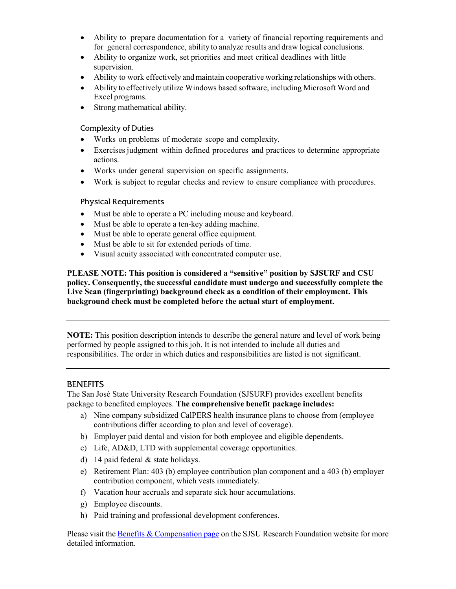- Ability to prepare documentation for a variety of financial reporting requirements and for general correspondence, ability to analyze results and draw logical conclusions.
- Ability to organize work, set priorities and meet critical deadlines with little supervision.
- Ability to work effectively and maintain cooperative working relationships with others.
- Ability to effectively utilize Windows based software, including Microsoft Word and Excel programs.
- Strong mathematical ability.

#### Complexity of Duties

- Works on problems of moderate scope and complexity.
- Exercises judgment within defined procedures and practices to determine appropriate actions.
- Works under general supervision on specific assignments.
- Work is subject to regular checks and review to ensure compliance with procedures.

#### Physical Requirements

- Must be able to operate a PC including mouse and keyboard.
- Must be able to operate a ten-key adding machine.
- Must be able to operate general office equipment.
- Must be able to sit for extended periods of time.
- Visual acuity associated with concentrated computer use.

**PLEASE NOTE: This position is considered a "sensitive" position by SJSURF and CSU policy. Consequently, the successful candidate must undergo and successfully complete the Live Scan (fingerprinting) background check as a condition of their employment. This background check must be completed before the actual start of employment.**

**NOTE:** This position description intends to describe the general nature and level of work being performed by people assigned to this job. It is not intended to include all duties and responsibilities. The order in which duties and responsibilities are listed is not significant.

#### **BENEFITS**

The San José State University Research Foundation (SJSURF) provides excellent benefits package to benefited employees. **The comprehensive benefit package includes:**

- a) Nine company subsidized CalPERS health insurance plans to choose from (employee contributions differ according to plan and level of coverage).
- b) Employer paid dental and vision for both employee and eligible dependents.
- c) Life, AD&D, LTD with supplemental coverage opportunities.
- d) 14 paid federal & state holidays.
- e) Retirement Plan: 403 (b) employee contribution plan component and a 403 (b) employer contribution component, which vests immediately.
- f) Vacation hour accruals and separate sick hour accumulations.
- g) Employee discounts.
- h) Paid training and professional development conferences.

Please visit th[e Benefits & Compensation page](https://www.sjsu.edu/researchfoundation/employees/benefits/index.php) on the SJSU Research Foundation website for more detailed information.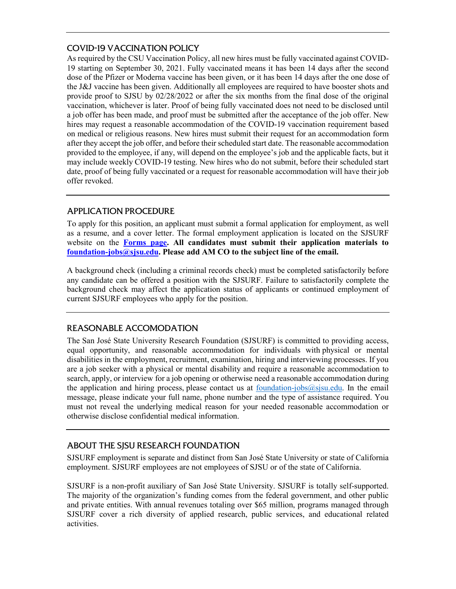## COVID-19 VACCINATION POLICY

As required by the CSU Vaccination Policy, all new hires must be fully vaccinated against COVID-19 starting on September 30, 2021. Fully vaccinated means it has been 14 days after the second dose of the Pfizer or Moderna vaccine has been given, or it has been 14 days after the one dose of the J&J vaccine has been given. Additionally all employees are required to have booster shots and provide proof to SJSU by 02/28/2022 or after the six months from the final dose of the original vaccination, whichever is later. Proof of being fully vaccinated does not need to be disclosed until a job offer has been made, and proof must be submitted after the acceptance of the job offer. New hires may request a reasonable accommodation of the COVID-19 vaccination requirement based on medical or religious reasons. New hires must submit their request for an accommodation form after they accept the job offer, and before their scheduled start date. The reasonable accommodation provided to the employee, if any, will depend on the employee's job and the applicable facts, but it may include weekly COVID-19 testing. New hires who do not submit, before their scheduled start date, proof of being fully vaccinated or a request for reasonable accommodation will have their job offer revoked.

## APPLICATION PROCEDURE

To apply for this position, an applicant must submit a formal application for employment, as well as a resume, and a cover letter. The formal employment application is located on the SJSURF website on the **[Forms page.](https://www.sjsu.edu/researchfoundation/resources/forms/index.php) All candidates must submit their application materials to [foundation-jobs@sjsu.edu.](mailto:foundation-jobs@sjsu.edu) Please add AM CO to the subject line of the email.**

A background check (including a criminal records check) must be completed satisfactorily before any candidate can be offered a position with the SJSURF. Failure to satisfactorily complete the background check may affect the application status of applicants or continued employment of current SJSURF employees who apply for the position.

# REASONABLE ACCOMODATION

The San José State University Research Foundation (SJSURF) is committed to providing access, equal opportunity, and reasonable accommodation for individuals with physical or mental disabilities in the employment, recruitment, examination, hiring and interviewing processes. If you are a job seeker with a physical or mental disability and require a reasonable accommodation to search, apply, or interview for a job opening or otherwise need a reasonable accommodation during the application and hiring process, please contact us at  $f$ <sub>0</sub> ( $\frac{1}{10}$   $\frac{1}{10}$   $\frac{1}{10}$   $\frac{1}{10}$   $\frac{1}{10}$   $\frac{1}{10}$   $\frac{1}{10}$   $\frac{1}{10}$   $\frac{1}{10}$   $\frac{1}{10}$   $\frac{1}{10}$   $\frac{1}{10}$   $\frac{1}{10}$   $\frac{1}{10}$   $\$ message, please indicate your full name, phone number and the type of assistance required. You must not reveal the underlying medical reason for your needed reasonable accommodation or otherwise disclose confidential medical information.

# ABOUT THE SJSU RESEARCH FOUNDATION

SJSURF employment is separate and distinct from San José State University or state of California employment. SJSURF employees are not employees of SJSU or of the state of California.

SJSURF is a non-profit auxiliary of San José State University. SJSURF is totally self-supported. The majority of the organization's funding comes from the federal government, and other public and private entities. With annual revenues totaling over \$65 million, programs managed through SJSURF cover a rich diversity of applied research, public services, and educational related activities.